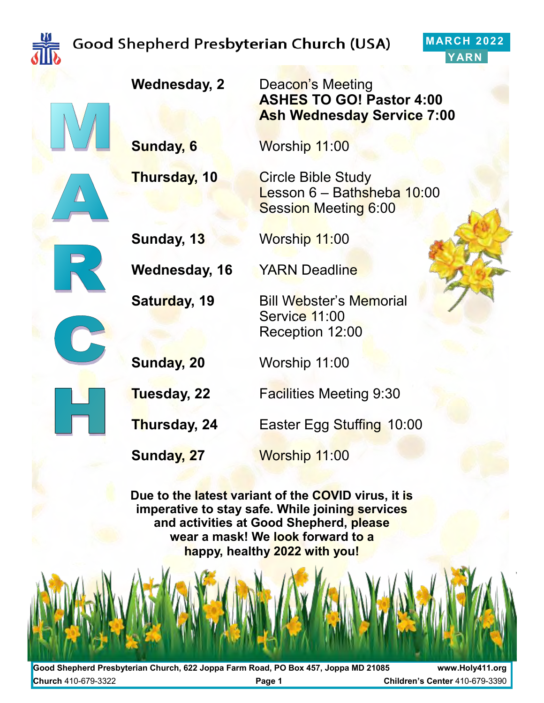

#### **MARCH 2022 YARN**



**Wednesday, 2** Deacon's Meeting

**Sunday, 6** Worship 11:00

**Thursday, 10** Circle Bible Study



**Sunday, 13** Worship 11:00

**Wednesday, 16** YARN Deadline

**Tuesday, 22** Facilities Meeting 9:30

**ASHES TO GO! Pastor 4:00**

Lesson 6 – Bathsheba 10:00

Session Meeting 6:00

**Ash Wednesday Service 7:00**

**Thursday, 24** Easter Egg Stuffing 10:00

**Sunday, 27** Worship 11:00

**Due to the latest variant of the COVID virus, it is imperative to stay safe. While joining services and activities at Good Shepherd, please wear a mask! We look forward to a happy, healthy 2022 with you!** 

**Good Shepherd Presbyterian Church, 622 Joppa Farm Road, PO Box 457, Joppa MD 21085 www.Holy411.org Church** 410-679-3322 **Page 1 Children's Center** 410-679-3390

# **Saturday, 19** Bill Webster's Memorial

Service 11:00 Reception 12:00

**Sunday, 20** Worship 11:00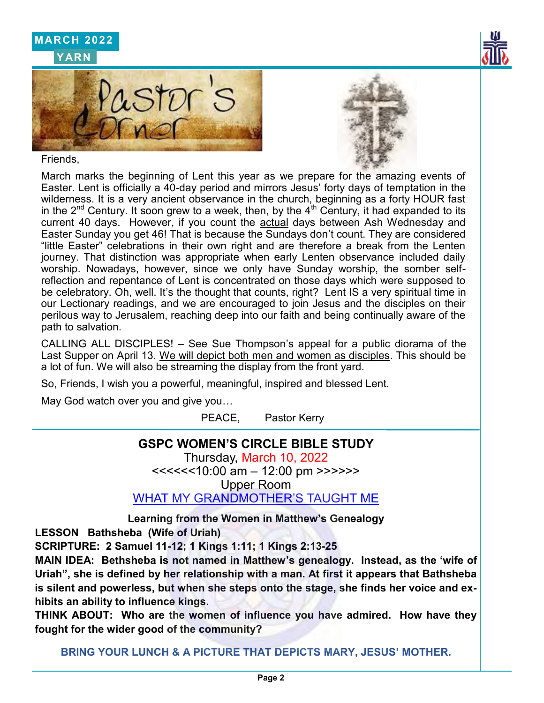

Friends,

March marks the beginning of Lent this year as we prepare for the amazing events of Easter. Lent is officially a 40-day period and mirrors Jesus' forty days of temptation in the wilderness. It is a very ancient observance in the church, beginning as a forty HOUR fast in the  $2^{nd}$  Century. It soon grew to a week, then, by the  $4^{th}$  Century, it had expanded to its current 40 days. However, if you count the actual days between Ash Wednesday and Easter Sunday you get 46! That is because the Sundays don't count. They are considered "little Easter" celebrations in their own right and are therefore a break from the Lenten journey. That distinction was appropriate when early Lenten observance included daily worship. Nowadays, however, since we only have Sunday worship, the somber selfreflection and repentance of Lent is concentrated on those days which were supposed to be celebratory. Oh, well. It's the thought that counts, right? Lent IS a very spiritual time in our Lectionary readings, and we are encouraged to join Jesus and the disciples on their perilous way to Jerusalem, reaching deep into our faith and being continually aware of the path to salvation.

CALLING ALL DISCIPLES! – See Sue Thompson's appeal for a public diorama of the Last Supper on April 13. We will depict both men and women as disciples. This should be a lot of fun. We will also be streaming the display from the front yard.

So, Friends, I wish you a powerful, meaningful, inspired and blessed Lent.

May God watch over you and give you…

PEACE, Pastor Kerry

#### **GSPC WOMEN'S CIRCLE BIBLE STUDY**

Thursday, March 10, 2022 <<<<<<10:00 am – 12:00 pm >>>>>>

Upper Room

WHAT MY GRANDMOTHER'S TAUGHT ME

**Learning from the Women in Matthew's Genealogy**

**LESSON Bathsheba (Wife of Uriah)** 

**SCRIPTURE: 2 Samuel 11-12; 1 Kings 1:11; 1 Kings 2:13-25**

**MAIN IDEA: Bethsheba is not named in Matthew's genealogy. Instead, as the 'wife of Uriah", she is defined by her relationship with a man. At first it appears that Bathsheba is silent and powerless, but when she steps onto the stage, she finds her voice and exhibits an ability to influence kings.**

**THINK ABOUT: Who are the women of influence you have admired. How have they fought for the wider good of the community?**

**BRING YOUR LUNCH & A PICTURE THAT DEPICTS MARY, JESUS' MOTHER.**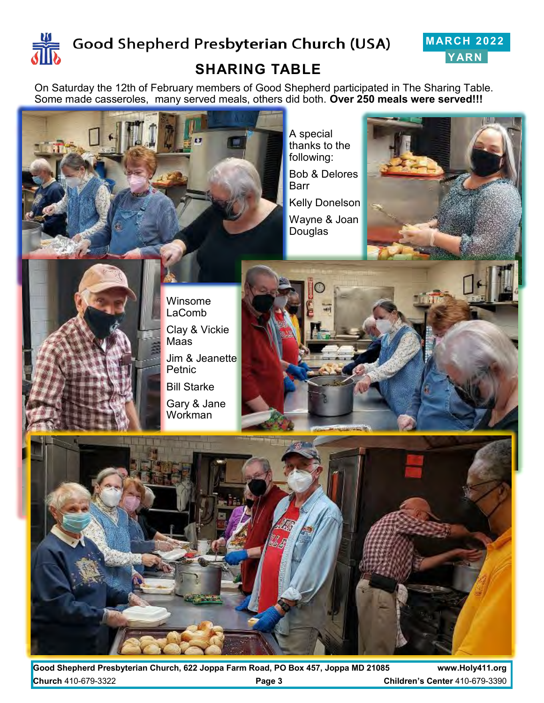



#### **SHARING TABLE**

On Saturday the 12th of February members of Good Shepherd participated in The Sharing Table. Some made casseroles, many served meals, others did both. **Over 250 meals were served!!!**

A special thanks to the following: Bob & Delores

Barr Kelly Donelson

Wayne & Joan Douglas



Winsome LaComb Clay & Vickie Maas Jim & Jeanette Petnic Bill Starke Gary & Jane **Workman** 





**Good Shepherd Presbyterian Church, 622 Joppa Farm Road, PO Box 457, Joppa MD 21085 www.Holy411.org Church** 410-679-3322 **Page 3 Children's Center** 410-679-3390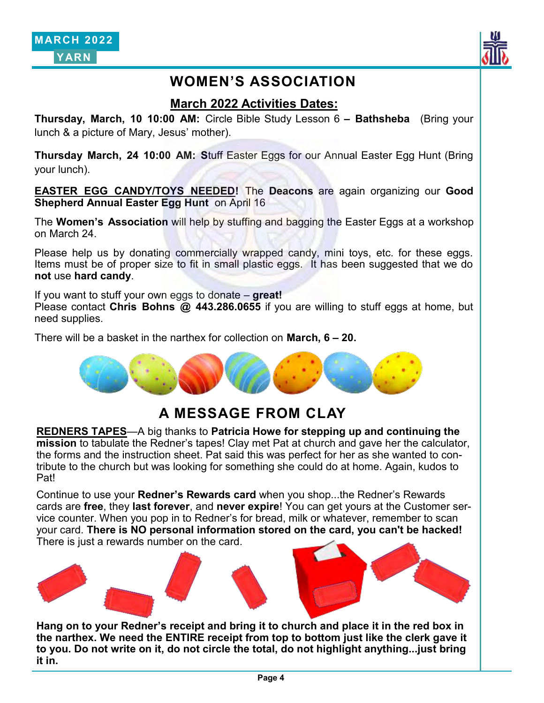

#### **WOMEN'S ASSOCIATION**

#### **March 2022 Activities Dates:**

**Thursday, March, 10 10:00 AM:** Circle Bible Study Lesson 6 **– Bathsheba** (Bring your lunch & a picture of Mary, Jesus' mother).

**Thursday March, 24 10:00 AM: S**tuff Easter Eggs for our Annual Easter Egg Hunt (Bring your lunch).

**EASTER EGG CANDY/TOYS NEEDED!** The **Deacons** are again organizing our **Good Shepherd Annual Easter Egg Hunt** on April 16

The **Women's Association** will help by stuffing and bagging the Easter Eggs at a workshop on March 24.

Please help us by donating commercially wrapped candy, mini toys, etc. for these eggs. Items must be of proper size to fit in small plastic eggs. It has been suggested that we do **not** use **hard candy**.

If you want to stuff your own eggs to donate – **great!**

Please contact **Chris Bohns @ 443.286.0655** if you are willing to stuff eggs at home, but need supplies.

There will be a basket in the narthex for collection on **March, 6 – 20.**



#### **A MESSAGE FROM CLAY**

**REDNERS TAPES**—A big thanks to **Patricia Howe for stepping up and continuing the mission** to tabulate the Redner's tapes! Clay met Pat at church and gave her the calculator, the forms and the instruction sheet. Pat said this was perfect for her as she wanted to contribute to the church but was looking for something she could do at home. Again, kudos to Pat!

Continue to use your **Redner's Rewards card** when you shop...the Redner's Rewards cards are **free**, they **last forever**, and **never expire**! You can get yours at the Customer service counter. When you pop in to Redner's for bread, milk or whatever, remember to scan your card. **There is NO personal information stored on the card, you can't be hacked!**  There is just a rewards number on the card.



**Hang on to your Redner's receipt and bring it to church and place it in the red box in the narthex. We need the ENTIRE receipt from top to bottom just like the clerk gave it to you. Do not write on it, do not circle the total, do not highlight anything...just bring it in.**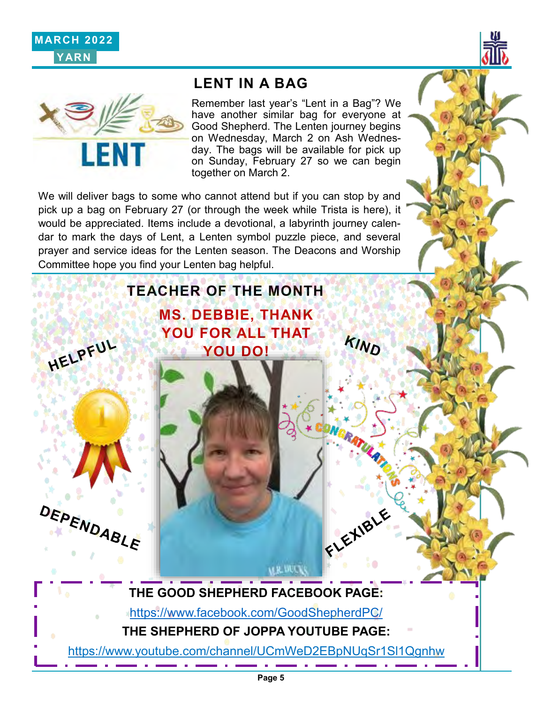





#### **LENT IN A BAG**

Remember last year's "Lent in a Bag"? We have another similar bag for everyone at Good Shepherd. The Lenten journey begins on Wednesday, March 2 on Ash Wednesday. The bags will be available for pick up on Sunday, February 27 so we can begin together on March 2.

KIND

FLEXIBLE

We will deliver bags to some who cannot attend but if you can stop by and pick up a bag on February 27 (or through the week while Trista is here), it would be appreciated. Items include a devotional, a labyrinth journey calendar to mark the days of Lent, a Lenten symbol puzzle piece, and several prayer and service ideas for the Lenten season. The Deacons and Worship Committee hope you find your Lenten bag helpful.

**TEACHER OF THE MONTH**

**MS. DEBBIE, THANK YOU FOR ALL THAT YOU DO!**



HELPFUL

**THE GOOD SHEPHERD FACEBOOK PAGE:**

<https://www.facebook.com/GoodShepherdPC/>

**THE SHEPHERD OF JOPPA YOUTUBE PAGE:**

*MR VECK* 

https://www.youtube.com/channel/UCmWeD2EBpNUqSr1Sl1Qgnhw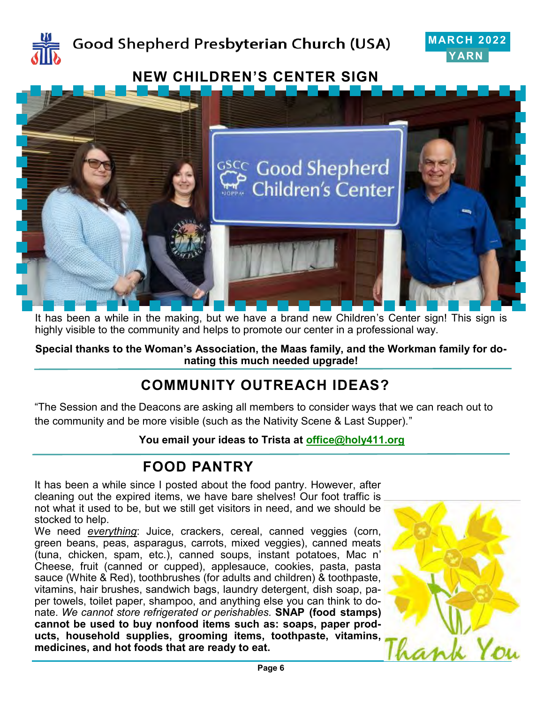



# **NEW CHILDREN'S CENTER SIGN** <sup>ငွင</sup>္ရွင္ Good Shepherd Children's Center

It has been a while in the making, but we have a brand new Children's Center sign! This sign is highly visible to the community and helps to promote our center in a professional way.

**Special thanks to the Woman's Association, the Maas family, and the Workman family for donating this much needed upgrade!**

### **COMMUNITY OUTREACH IDEAS?**

"The Session and the Deacons are asking all members to consider ways that we can reach out to the community and be more visible (such as the Nativity Scene & Last Supper)."

**You email your ideas to Trista at [office@holy411.org](mailto:office@holy411.org)**

#### **FOOD PANTRY**

It has been a while since I posted about the food pantry. However, after cleaning out the expired items, we have bare shelves! Our foot traffic is not what it used to be, but we still get visitors in need, and we should be stocked to help.

We need *everything*: Juice, crackers, cereal, canned veggies (corn, green beans, peas, asparagus, carrots, mixed veggies), canned meats (tuna, chicken, spam, etc.), canned soups, instant potatoes, Mac n' Cheese, fruit (canned or cupped), applesauce, cookies, pasta, pasta sauce (White & Red), toothbrushes (for adults and children) & toothpaste, vitamins, hair brushes, sandwich bags, laundry detergent, dish soap, paper towels, toilet paper, shampoo, and anything else you can think to donate. *We cannot store refrigerated or perishables.* **SNAP (food stamps) cannot be used to buy nonfood items such as: soaps, paper products, household supplies, grooming items, toothpaste, vitamins, medicines, and hot foods that are ready to eat.**